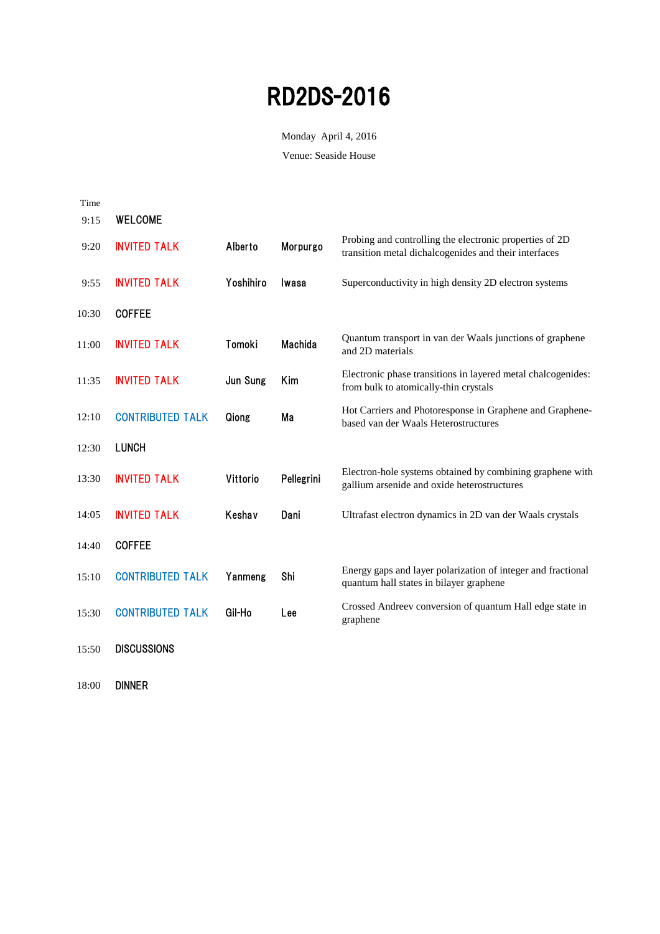Monday April 4, 2016

Venue: Seaside House

| Time  |                         |           |                |                                                                                                                  |
|-------|-------------------------|-----------|----------------|------------------------------------------------------------------------------------------------------------------|
| 9:15  | <b>WELCOME</b>          |           |                |                                                                                                                  |
| 9:20  | <b>INVITED TALK</b>     | Alberto   | Morpurgo       | Probing and controlling the electronic properties of 2D<br>transition metal dichalcogenides and their interfaces |
| 9:55  | <b>INVITED TALK</b>     | Yoshihiro | Iwasa          | Superconductivity in high density 2D electron systems                                                            |
| 10:30 | <b>COFFEE</b>           |           |                |                                                                                                                  |
| 11:00 | <b>INVITED TALK</b>     | Tomoki    | <b>Machida</b> | Quantum transport in van der Waals junctions of graphene<br>and 2D materials                                     |
| 11:35 | <b>INVITED TALK</b>     | Jun Sung  | Kim            | Electronic phase transitions in layered metal chalcogenides:<br>from bulk to atomically-thin crystals            |
| 12:10 | <b>CONTRIBUTED TALK</b> | Qiong     | Ma             | Hot Carriers and Photoresponse in Graphene and Graphene-<br>based van der Waals Heterostructures                 |
| 12:30 | <b>LUNCH</b>            |           |                |                                                                                                                  |
| 13:30 | <b>INVITED TALK</b>     | Vittorio  | Pellegrini     | Electron-hole systems obtained by combining graphene with<br>gallium arsenide and oxide heterostructures         |
| 14:05 | <b>INVITED TALK</b>     | Keshav    | Dani           | Ultrafast electron dynamics in 2D van der Waals crystals                                                         |
| 14:40 | <b>COFFEE</b>           |           |                |                                                                                                                  |
| 15:10 | <b>CONTRIBUTED TALK</b> | Yanmeng   | Shi            | Energy gaps and layer polarization of integer and fractional<br>quantum hall states in bilayer graphene          |
| 15:30 | <b>CONTRIBUTED TALK</b> | Gil-Ho    | Lee            | Crossed Andreev conversion of quantum Hall edge state in<br>graphene                                             |
| 15:50 | <b>DISCUSSIONS</b>      |           |                |                                                                                                                  |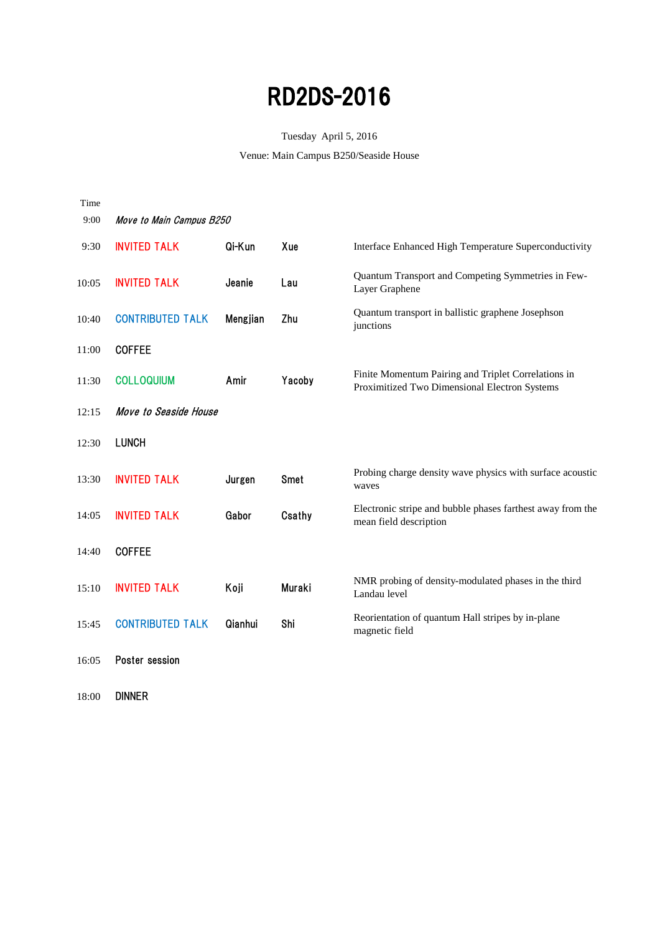#### Tuesday April 5, 2016

Venue: Main Campus B250/Seaside House

| Time  |                          |          |             |                                                                                                      |
|-------|--------------------------|----------|-------------|------------------------------------------------------------------------------------------------------|
| 9:00  | Move to Main Campus B250 |          |             |                                                                                                      |
| 9:30  | <b>INVITED TALK</b>      | Qi-Kun   | Xue         | Interface Enhanced High Temperature Superconductivity                                                |
| 10:05 | <b>INVITED TALK</b>      | Jeanie   | Lau         | Quantum Transport and Competing Symmetries in Few-<br>Layer Graphene                                 |
| 10:40 | <b>CONTRIBUTED TALK</b>  | Mengjian | Zhu         | Quantum transport in ballistic graphene Josephson<br>junctions                                       |
| 11:00 | <b>COFFEE</b>            |          |             |                                                                                                      |
| 11:30 | <b>COLLOQUIUM</b>        | Amir     | Yacoby      | Finite Momentum Pairing and Triplet Correlations in<br>Proximitized Two Dimensional Electron Systems |
| 12:15 | Move to Seaside House    |          |             |                                                                                                      |
| 12:30 | <b>LUNCH</b>             |          |             |                                                                                                      |
| 13:30 | <b>INVITED TALK</b>      | Jurgen   | <b>Smet</b> | Probing charge density wave physics with surface acoustic<br>waves                                   |
| 14:05 | <b>INVITED TALK</b>      | Gabor    | Csathy      | Electronic stripe and bubble phases farthest away from the<br>mean field description                 |
| 14:40 | <b>COFFEE</b>            |          |             |                                                                                                      |
| 15:10 | <b>INVITED TALK</b>      | Koji     | Muraki      | NMR probing of density-modulated phases in the third<br>Landau level                                 |
| 15:45 | <b>CONTRIBUTED TALK</b>  | Qianhui  | Shi         | Reorientation of quantum Hall stripes by in-plane<br>magnetic field                                  |
| 16:05 | Poster session           |          |             |                                                                                                      |
|       |                          |          |             |                                                                                                      |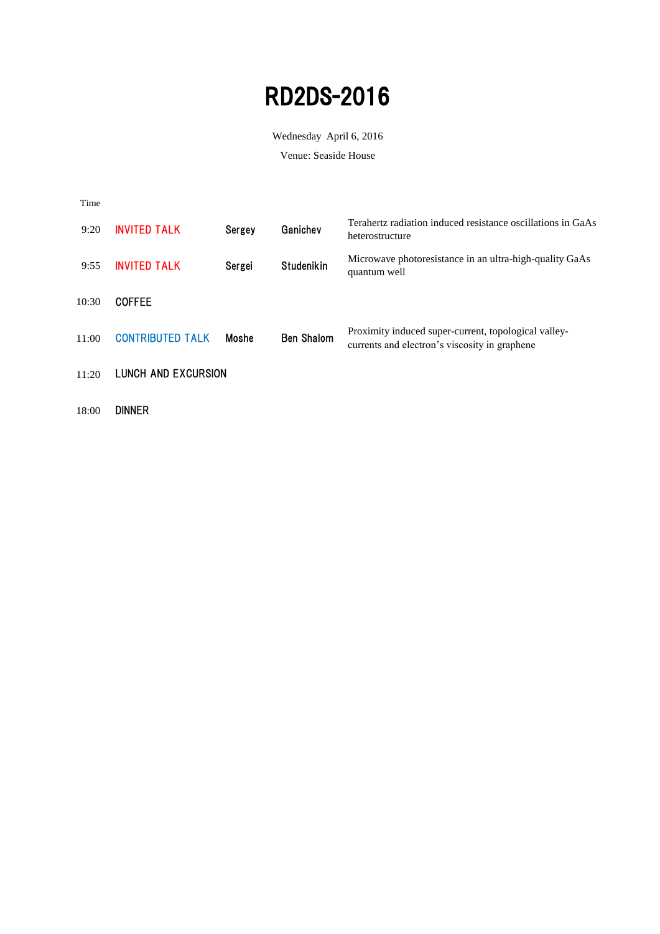Wednesday April 6, 2016

Venue: Seaside House

| Time  |                         |        |                   |                                                                                                       |
|-------|-------------------------|--------|-------------------|-------------------------------------------------------------------------------------------------------|
| 9:20  | <b>INVITED TALK</b>     | Sergey | Ganichev          | Terahertz radiation induced resistance oscillations in GaAs<br>heterostructure                        |
| 9:55  | <b>INVITED TALK</b>     | Sergei | <b>Studenikin</b> | Microwave photoresistance in an ultra-high-quality GaAs<br>quantum well                               |
| 10:30 | <b>COFFEE</b>           |        |                   |                                                                                                       |
| 11:00 | <b>CONTRIBUTED TALK</b> | Moshe  | <b>Ben Shalom</b> | Proximity induced super-current, topological valley-<br>currents and electron's viscosity in graphene |
| 11:20 | LUNCH AND EXCURSION     |        |                   |                                                                                                       |
|       |                         |        |                   |                                                                                                       |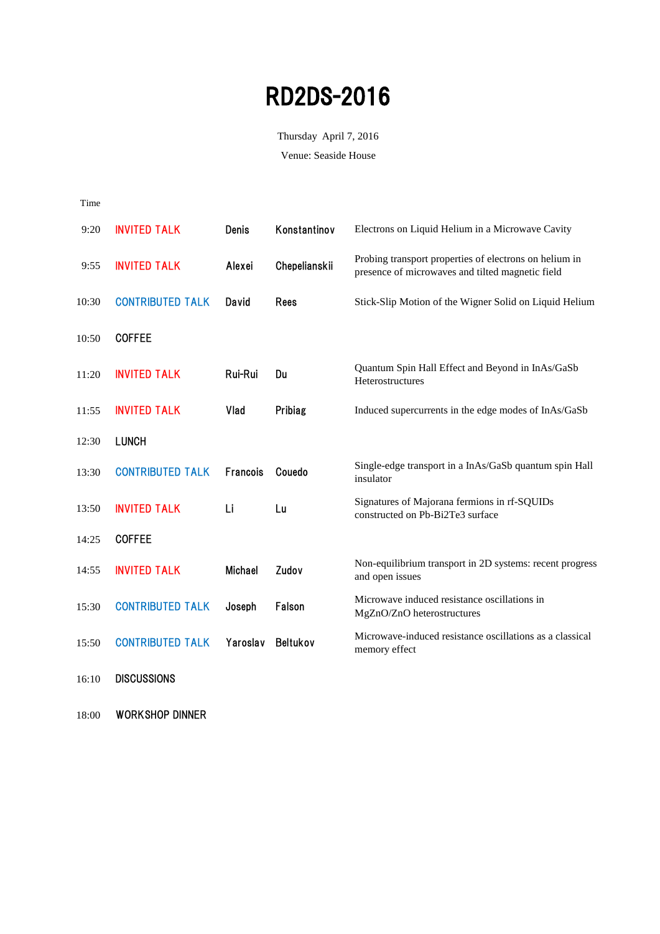Thursday April 7, 2016

Venue: Seaside House

| Time  |                         |                 |                 |                                                                                                            |
|-------|-------------------------|-----------------|-----------------|------------------------------------------------------------------------------------------------------------|
| 9:20  | <b>INVITED TALK</b>     | <b>Denis</b>    | Konstantinov    | Electrons on Liquid Helium in a Microwave Cavity                                                           |
| 9:55  | <b>INVITED TALK</b>     | Alexei          | Chepelianskii   | Probing transport properties of electrons on helium in<br>presence of microwaves and tilted magnetic field |
| 10:30 | <b>CONTRIBUTED TALK</b> | David           | <b>Rees</b>     | Stick-Slip Motion of the Wigner Solid on Liquid Helium                                                     |
| 10:50 | <b>COFFEE</b>           |                 |                 |                                                                                                            |
| 11:20 | <b>INVITED TALK</b>     | Rui-Rui         | Du              | Quantum Spin Hall Effect and Beyond in InAs/GaSb<br>Heterostructures                                       |
| 11:55 | <b>INVITED TALK</b>     | Vlad            | Pribiag         | Induced supercurrents in the edge modes of InAs/GaSb                                                       |
| 12:30 | <b>LUNCH</b>            |                 |                 |                                                                                                            |
| 13:30 | <b>CONTRIBUTED TALK</b> | <b>Francois</b> | Couedo          | Single-edge transport in a InAs/GaSb quantum spin Hall<br>insulator                                        |
| 13:50 | <b>INVITED TALK</b>     | Li              | Lu              | Signatures of Majorana fermions in rf-SQUIDs<br>constructed on Pb-Bi2Te3 surface                           |
| 14:25 | <b>COFFEE</b>           |                 |                 |                                                                                                            |
| 14:55 | <b>INVITED TALK</b>     | <b>Michael</b>  | Zudov           | Non-equilibrium transport in 2D systems: recent progress<br>and open issues                                |
| 15:30 | <b>CONTRIBUTED TALK</b> | Joseph          | Falson          | Microwave induced resistance oscillations in<br>MgZnO/ZnO heterostructures                                 |
| 15:50 | <b>CONTRIBUTED TALK</b> | Yaroslav        | <b>Beltukov</b> | Microwave-induced resistance oscillations as a classical<br>memory effect                                  |
| 16:10 | <b>DISCUSSIONS</b>      |                 |                 |                                                                                                            |

18:00 WORKSHOP DINNER